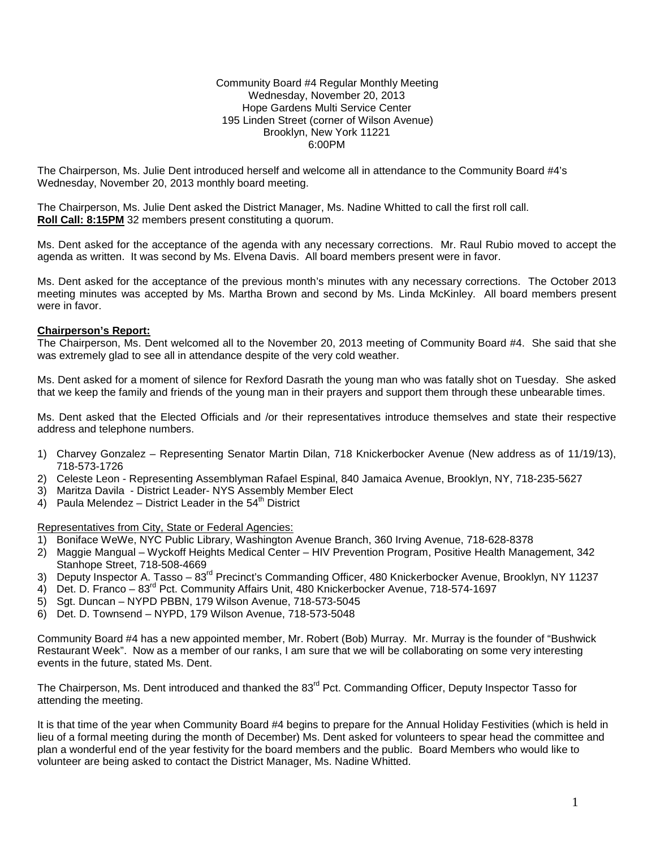#### Community Board #4 Regular Monthly Meeting Wednesday, November 20, 2013 Hope Gardens Multi Service Center 195 Linden Street (corner of Wilson Avenue) Brooklyn, New York 11221 6:00PM

The Chairperson, Ms. Julie Dent introduced herself and welcome all in attendance to the Community Board #4's Wednesday, November 20, 2013 monthly board meeting.

The Chairperson, Ms. Julie Dent asked the District Manager, Ms. Nadine Whitted to call the first roll call. **Roll Call: 8:15PM** 32 members present constituting a quorum.

Ms. Dent asked for the acceptance of the agenda with any necessary corrections. Mr. Raul Rubio moved to accept the agenda as written. It was second by Ms. Elvena Davis. All board members present were in favor.

Ms. Dent asked for the acceptance of the previous month's minutes with any necessary corrections. The October 2013 meeting minutes was accepted by Ms. Martha Brown and second by Ms. Linda McKinley. All board members present were in favor.

### **Chairperson's Report:**

The Chairperson, Ms. Dent welcomed all to the November 20, 2013 meeting of Community Board #4. She said that she was extremely glad to see all in attendance despite of the very cold weather.

Ms. Dent asked for a moment of silence for Rexford Dasrath the young man who was fatally shot on Tuesday. She asked that we keep the family and friends of the young man in their prayers and support them through these unbearable times.

Ms. Dent asked that the Elected Officials and /or their representatives introduce themselves and state their respective address and telephone numbers.

- 1) Charvey Gonzalez Representing Senator Martin Dilan, 718 Knickerbocker Avenue (New address as of 11/19/13), 718-573-1726
- 2) Celeste Leon Representing Assemblyman Rafael Espinal, 840 Jamaica Avenue, Brooklyn, NY, 718-235-5627
- 3) Maritza Davila District Leader- NYS Assembly Member Elect
- 4) Paula Melendez District Leader in the  $54<sup>th</sup>$  District

Representatives from City, State or Federal Agencies:

- 1) Boniface WeWe, NYC Public Library, Washington Avenue Branch, 360 Irving Avenue, 718-628-8378
- 2) Maggie Mangual Wyckoff Heights Medical Center HIV Prevention Program, Positive Health Management, 342 Stanhope Street, 718-508-4669
- 3) Deputy Inspector A. Tasso 83<sup>rd</sup> Precinct's Commanding Officer, 480 Knickerbocker Avenue, Brooklyn, NY 11237
- 4) Det. D. Franco 83<sup>rd</sup> Pct. Community Affairs Unit, 480 Knickerbocker Avenue, 718-574-1697
- 5) Sgt. Duncan NYPD PBBN, 179 Wilson Avenue, 718-573-5045
- 6) Det. D. Townsend NYPD, 179 Wilson Avenue, 718-573-5048

Community Board #4 has a new appointed member, Mr. Robert (Bob) Murray. Mr. Murray is the founder of "Bushwick Restaurant Week". Now as a member of our ranks, I am sure that we will be collaborating on some very interesting events in the future, stated Ms. Dent.

The Chairperson, Ms. Dent introduced and thanked the 83<sup>rd</sup> Pct. Commanding Officer, Deputy Inspector Tasso for attending the meeting.

It is that time of the year when Community Board #4 begins to prepare for the Annual Holiday Festivities (which is held in lieu of a formal meeting during the month of December) Ms. Dent asked for volunteers to spear head the committee and plan a wonderful end of the year festivity for the board members and the public. Board Members who would like to volunteer are being asked to contact the District Manager, Ms. Nadine Whitted.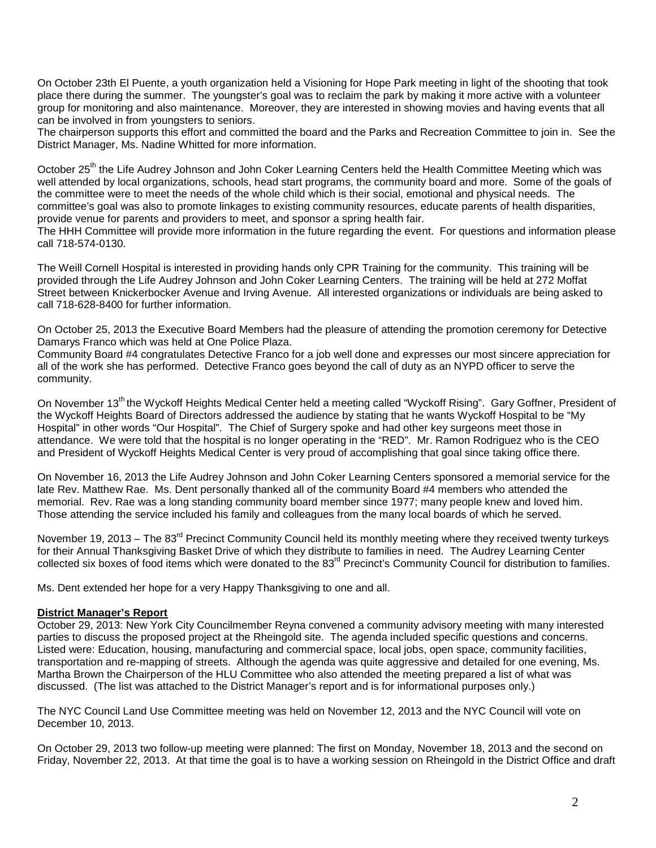On October 23th El Puente, a youth organization held a Visioning for Hope Park meeting in light of the shooting that took place there during the summer. The youngster's goal was to reclaim the park by making it more active with a volunteer group for monitoring and also maintenance. Moreover, they are interested in showing movies and having events that all can be involved in from youngsters to seniors.

The chairperson supports this effort and committed the board and the Parks and Recreation Committee to join in. See the District Manager, Ms. Nadine Whitted for more information.

October 25<sup>th</sup> the Life Audrey Johnson and John Coker Learning Centers held the Health Committee Meeting which was well attended by local organizations, schools, head start programs, the community board and more. Some of the goals of the committee were to meet the needs of the whole child which is their social, emotional and physical needs. The committee's goal was also to promote linkages to existing community resources, educate parents of health disparities, provide venue for parents and providers to meet, and sponsor a spring health fair. The HHH Committee will provide more information in the future regarding the event. For questions and information please call 718-574-0130.

The Weill Cornell Hospital is interested in providing hands only CPR Training for the community. This training will be provided through the Life Audrey Johnson and John Coker Learning Centers. The training will be held at 272 Moffat Street between Knickerbocker Avenue and Irving Avenue. All interested organizations or individuals are being asked to call 718-628-8400 for further information.

On October 25, 2013 the Executive Board Members had the pleasure of attending the promotion ceremony for Detective Damarys Franco which was held at One Police Plaza.

Community Board #4 congratulates Detective Franco for a job well done and expresses our most sincere appreciation for all of the work she has performed. Detective Franco goes beyond the call of duty as an NYPD officer to serve the community.

On November 13<sup>th</sup> the Wyckoff Heights Medical Center held a meeting called "Wyckoff Rising". Gary Goffner, President of the Wyckoff Heights Board of Directors addressed the audience by stating that he wants Wyckoff Hospital to be "My Hospital" in other words "Our Hospital". The Chief of Surgery spoke and had other key surgeons meet those in attendance. We were told that the hospital is no longer operating in the "RED". Mr. Ramon Rodriguez who is the CEO and President of Wyckoff Heights Medical Center is very proud of accomplishing that goal since taking office there.

On November 16, 2013 the Life Audrey Johnson and John Coker Learning Centers sponsored a memorial service for the late Rev. Matthew Rae. Ms. Dent personally thanked all of the community Board #4 members who attended the memorial. Rev. Rae was a long standing community board member since 1977; many people knew and loved him. Those attending the service included his family and colleagues from the many local boards of which he served.

November 19, 2013 – The 83<sup>rd</sup> Precinct Community Council held its monthly meeting where they received twenty turkeys for their Annual Thanksgiving Basket Drive of which they distribute to families in need. The Audrey Learning Center collected six boxes of food items which were donated to the 83<sup>rd</sup> Precinct's Community Council for distribution to families.

Ms. Dent extended her hope for a very Happy Thanksgiving to one and all.

### **District Manager's Report**

October 29, 2013: New York City Councilmember Reyna convened a community advisory meeting with many interested parties to discuss the proposed project at the Rheingold site. The agenda included specific questions and concerns. Listed were: Education, housing, manufacturing and commercial space, local jobs, open space, community facilities, transportation and re-mapping of streets. Although the agenda was quite aggressive and detailed for one evening, Ms. Martha Brown the Chairperson of the HLU Committee who also attended the meeting prepared a list of what was discussed. (The list was attached to the District Manager's report and is for informational purposes only.)

The NYC Council Land Use Committee meeting was held on November 12, 2013 and the NYC Council will vote on December 10, 2013.

On October 29, 2013 two follow-up meeting were planned: The first on Monday, November 18, 2013 and the second on Friday, November 22, 2013. At that time the goal is to have a working session on Rheingold in the District Office and draft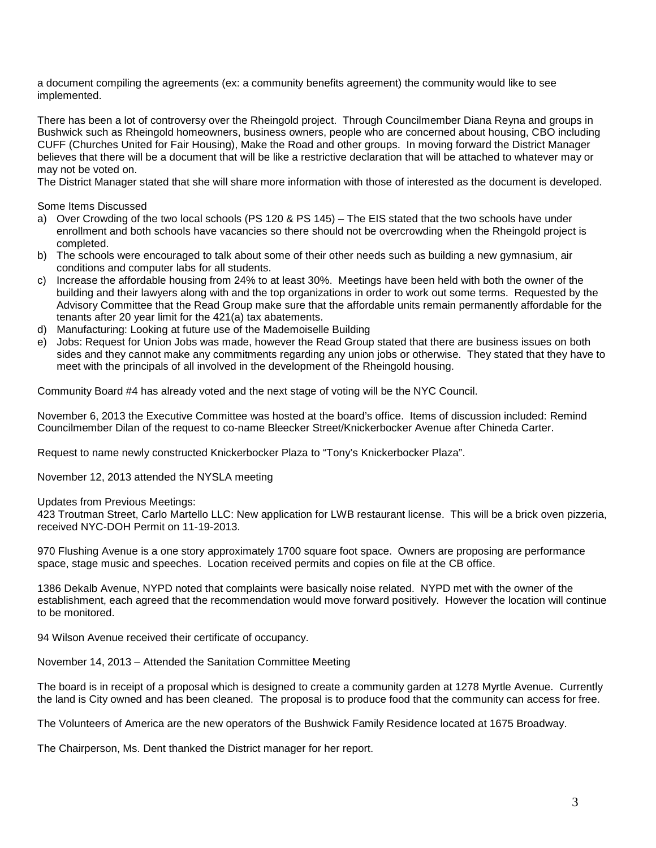a document compiling the agreements (ex: a community benefits agreement) the community would like to see implemented.

There has been a lot of controversy over the Rheingold project. Through Councilmember Diana Reyna and groups in Bushwick such as Rheingold homeowners, business owners, people who are concerned about housing, CBO including CUFF (Churches United for Fair Housing), Make the Road and other groups. In moving forward the District Manager believes that there will be a document that will be like a restrictive declaration that will be attached to whatever may or may not be voted on.

The District Manager stated that she will share more information with those of interested as the document is developed.

Some Items Discussed

- a) Over Crowding of the two local schools (PS 120 & PS 145) The EIS stated that the two schools have under enrollment and both schools have vacancies so there should not be overcrowding when the Rheingold project is completed.
- b) The schools were encouraged to talk about some of their other needs such as building a new gymnasium, air conditions and computer labs for all students.
- c) Increase the affordable housing from 24% to at least 30%. Meetings have been held with both the owner of the building and their lawyers along with and the top organizations in order to work out some terms. Requested by the Advisory Committee that the Read Group make sure that the affordable units remain permanently affordable for the tenants after 20 year limit for the 421(a) tax abatements.
- d) Manufacturing: Looking at future use of the Mademoiselle Building
- e) Jobs: Request for Union Jobs was made, however the Read Group stated that there are business issues on both sides and they cannot make any commitments regarding any union jobs or otherwise. They stated that they have to meet with the principals of all involved in the development of the Rheingold housing.

Community Board #4 has already voted and the next stage of voting will be the NYC Council.

November 6, 2013 the Executive Committee was hosted at the board's office. Items of discussion included: Remind Councilmember Dilan of the request to co-name Bleecker Street/Knickerbocker Avenue after Chineda Carter.

Request to name newly constructed Knickerbocker Plaza to "Tony's Knickerbocker Plaza".

November 12, 2013 attended the NYSLA meeting

Updates from Previous Meetings:

423 Troutman Street, Carlo Martello LLC: New application for LWB restaurant license. This will be a brick oven pizzeria, received NYC-DOH Permit on 11-19-2013.

970 Flushing Avenue is a one story approximately 1700 square foot space. Owners are proposing are performance space, stage music and speeches. Location received permits and copies on file at the CB office.

1386 Dekalb Avenue, NYPD noted that complaints were basically noise related. NYPD met with the owner of the establishment, each agreed that the recommendation would move forward positively. However the location will continue to be monitored.

94 Wilson Avenue received their certificate of occupancy.

November 14, 2013 – Attended the Sanitation Committee Meeting

The board is in receipt of a proposal which is designed to create a community garden at 1278 Myrtle Avenue. Currently the land is City owned and has been cleaned. The proposal is to produce food that the community can access for free.

The Volunteers of America are the new operators of the Bushwick Family Residence located at 1675 Broadway.

The Chairperson, Ms. Dent thanked the District manager for her report.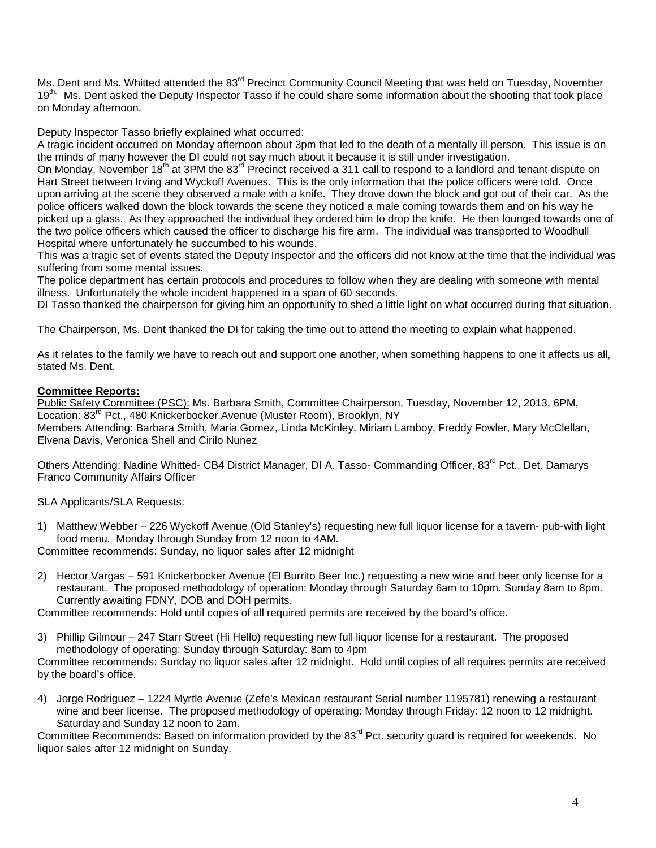Ms. Dent and Ms. Whitted attended the 83<sup>rd</sup> Precinct Community Council Meeting that was held on Tuesday, November 19<sup>th.</sup> Ms. Dent asked the Deputy Inspector Tasso if he could share some information about the shooting that took place on Monday afternoon.

Deputy Inspector Tasso briefly explained what occurred:

A tragic incident occurred on Monday afternoon about 3pm that led to the death of a mentally ill person. This issue is on the minds of many however the DI could not say much about it because it is still under investigation.

On Monday, November 18th at 3PM the 83rd Precinct received a 311 call to respond to a landlord and tenant dispute on Hart Street between Irving and Wyckoff Avenues. This is the only information that the police officers were told. Once upon arriving at the scene they observed a male with a knife. They drove down the block and got out of their car. As the police officers walked down the block towards the scene they noticed a male coming towards them and on his way he picked up a glass. As they approached the individual they ordered him to drop the knife. He then lounged towards one of the two police officers which caused the officer to discharge his fire arm. The individual was transported to Woodhull Hospital where unfortunately he succumbed to his wounds.

This was a tragic set of events stated the Deputy Inspector and the officers did not know at the time that the individual was suffering from some mental issues.

The police department has certain protocols and procedures to follow when they are dealing with someone with mental illness. Unfortunately the whole incident happened in a span of 60 seconds.

DI Tasso thanked the chairperson for giving him an opportunity to shed a little light on what occurred during that situation.

The Chairperson, Ms. Dent thanked the DI for taking the time out to attend the meeting to explain what happened.

As it relates to the family we have to reach out and support one another, when something happens to one it affects us all, stated Ms. Dent.

## **Committee Reports:**

Public Safety Committee (PSC): Ms. Barbara Smith, Committee Chairperson, Tuesday, November 12, 2013, 6PM, Location: 83<sup>rd</sup> Pct., 480 Knickerbocker Avenue (Muster Room), Brooklyn, NY Members Attending: Barbara Smith, Maria Gomez, Linda McKinley, Miriam Lamboy, Freddy Fowler, Mary McClellan, Elvena Davis, Veronica Shell and Cirilo Nunez

Others Attending: Nadine Whitted- CB4 District Manager, DI A. Tasso- Commanding Officer, 83<sup>rd</sup> Pct., Det. Damarys Franco Community Affairs Officer

SLA Applicants/SLA Requests:

1) Matthew Webber – 226 Wyckoff Avenue (Old Stanley's) requesting new full liquor license for a tavern- pub-with light food menu. Monday through Sunday from 12 noon to 4AM.

Committee recommends: Sunday, no liquor sales after 12 midnight

2) Hector Vargas – 591 Knickerbocker Avenue (El Burrito Beer Inc.) requesting a new wine and beer only license for a restaurant. The proposed methodology of operation: Monday through Saturday 6am to 10pm. Sunday 8am to 8pm. Currently awaiting FDNY, DOB and DOH permits.

Committee recommends: Hold until copies of all required permits are received by the board's office.

3) Phillip Gilmour – 247 Starr Street (Hi Hello) requesting new full liquor license for a restaurant. The proposed methodology of operating: Sunday through Saturday: 8am to 4pm

Committee recommends: Sunday no liquor sales after 12 midnight. Hold until copies of all requires permits are received by the board's office.

4) Jorge Rodriguez – 1224 Myrtle Avenue (Zefe's Mexican restaurant Serial number 1195781) renewing a restaurant wine and beer license. The proposed methodology of operating: Monday through Friday: 12 noon to 12 midnight. Saturday and Sunday 12 noon to 2am.

Committee Recommends: Based on information provided by the 83<sup>rd</sup> Pct. security guard is required for weekends. No liquor sales after 12 midnight on Sunday.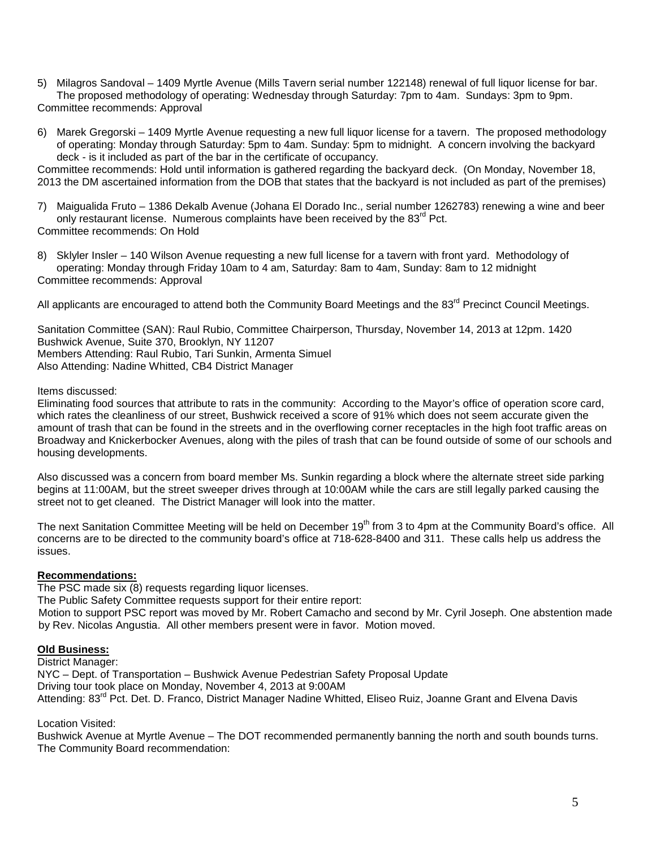- 5) Milagros Sandoval 1409 Myrtle Avenue (Mills Tavern serial number 122148) renewal of full liquor license for bar. The proposed methodology of operating: Wednesday through Saturday: 7pm to 4am. Sundays: 3pm to 9pm. Committee recommends: Approval
- 6) Marek Gregorski 1409 Myrtle Avenue requesting a new full liquor license for a tavern. The proposed methodology of operating: Monday through Saturday: 5pm to 4am. Sunday: 5pm to midnight. A concern involving the backyard deck - is it included as part of the bar in the certificate of occupancy.

Committee recommends: Hold until information is gathered regarding the backyard deck. (On Monday, November 18, 2013 the DM ascertained information from the DOB that states that the backyard is not included as part of the premises)

7) Maigualida Fruto – 1386 Dekalb Avenue (Johana El Dorado Inc., serial number 1262783) renewing a wine and beer only restaurant license. Numerous complaints have been received by the  $83^{rd}$  Pct. Committee recommends: On Hold

8) Sklyler Insler – 140 Wilson Avenue requesting a new full license for a tavern with front yard. Methodology of operating: Monday through Friday 10am to 4 am, Saturday: 8am to 4am, Sunday: 8am to 12 midnight Committee recommends: Approval

All applicants are encouraged to attend both the Community Board Meetings and the 83<sup>rd</sup> Precinct Council Meetings.

Sanitation Committee (SAN): Raul Rubio, Committee Chairperson, Thursday, November 14, 2013 at 12pm. 1420 Bushwick Avenue, Suite 370, Brooklyn, NY 11207 Members Attending: Raul Rubio, Tari Sunkin, Armenta Simuel Also Attending: Nadine Whitted, CB4 District Manager

## Items discussed:

Eliminating food sources that attribute to rats in the community: According to the Mayor's office of operation score card, which rates the cleanliness of our street. Bushwick received a score of 91% which does not seem accurate given the amount of trash that can be found in the streets and in the overflowing corner receptacles in the high foot traffic areas on Broadway and Knickerbocker Avenues, along with the piles of trash that can be found outside of some of our schools and housing developments.

Also discussed was a concern from board member Ms. Sunkin regarding a block where the alternate street side parking begins at 11:00AM, but the street sweeper drives through at 10:00AM while the cars are still legally parked causing the street not to get cleaned. The District Manager will look into the matter.

The next Sanitation Committee Meeting will be held on December 19<sup>th</sup> from 3 to 4pm at the Community Board's office. All concerns are to be directed to the community board's office at 718-628-8400 and 311. These calls help us address the issues.

### **Recommendations:**

The PSC made six (8) requests regarding liquor licenses.

The Public Safety Committee requests support for their entire report:

Motion to support PSC report was moved by Mr. Robert Camacho and second by Mr. Cyril Joseph. One abstention made by Rev. Nicolas Angustia. All other members present were in favor. Motion moved.

### **Old Business:**

District Manager:

NYC – Dept. of Transportation – Bushwick Avenue Pedestrian Safety Proposal Update Driving tour took place on Monday, November 4, 2013 at 9:00AM Attending: 83<sup>rd</sup> Pct. Det. D. Franco, District Manager Nadine Whitted, Eliseo Ruiz, Joanne Grant and Elvena Davis

Location Visited:

Bushwick Avenue at Myrtle Avenue – The DOT recommended permanently banning the north and south bounds turns. The Community Board recommendation: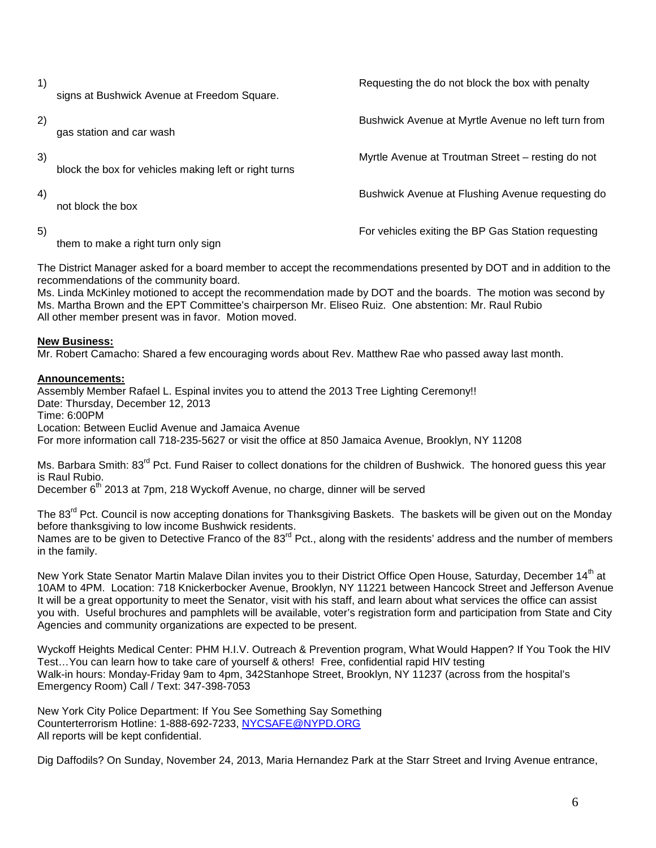signs at Bushwick Avenue at Freedom Square.

gas station and car wash

block the box for vehicles making left or right turns

not block the box

them to make a right turn only sign

1) **Requesting the do not block the box with penalty Requesting the do not block the box with penalty** 

2) Bushwick Avenue at Myrtle Avenue no left turn from

3) Myrtle Avenue at Troutman Street – resting do not

4) Bushwick Avenue at Flushing Avenue requesting do

5) For vehicles exiting the BP Gas Station requesting

The District Manager asked for a board member to accept the recommendations presented by DOT and in addition to the recommendations of the community board.

Ms. Linda McKinley motioned to accept the recommendation made by DOT and the boards. The motion was second by Ms. Martha Brown and the EPT Committee's chairperson Mr. Eliseo Ruiz. One abstention: Mr. Raul Rubio All other member present was in favor. Motion moved.

# **New Business:**

Mr. Robert Camacho: Shared a few encouraging words about Rev. Matthew Rae who passed away last month.

# **Announcements:**

Assembly Member Rafael L. Espinal invites you to attend the 2013 Tree Lighting Ceremony!! Date: Thursday, December 12, 2013 Time: 6:00PM Location: Between Euclid Avenue and Jamaica Avenue For more information call 718-235-5627 or visit the office at 850 Jamaica Avenue, Brooklyn, NY 11208

Ms. Barbara Smith: 83<sup>rd</sup> Pct. Fund Raiser to collect donations for the children of Bushwick. The honored guess this year is Raul Rubio.

December  $6<sup>th</sup>$  2013 at 7pm, 218 Wyckoff Avenue, no charge, dinner will be served

The 83<sup>rd</sup> Pct. Council is now accepting donations for Thanksgiving Baskets. The baskets will be given out on the Monday before thanksgiving to low income Bushwick residents. Names are to be given to Detective Franco of the 83<sup>rd</sup> Pct., along with the residents' address and the number of members in the family.

New York State Senator Martin Malave Dilan invites you to their District Office Open House, Saturday, December 14<sup>th</sup> at 10AM to 4PM. Location: 718 Knickerbocker Avenue, Brooklyn, NY 11221 between Hancock Street and Jefferson Avenue It will be a great opportunity to meet the Senator, visit with his staff, and learn about what services the office can assist you with. Useful brochures and pamphlets will be available, voter's registration form and participation from State and City Agencies and community organizations are expected to be present.

Wyckoff Heights Medical Center: PHM H.I.V. Outreach & Prevention program, What Would Happen? If You Took the HIV Test…You can learn how to take care of yourself & others! Free, confidential rapid HIV testing Walk-in hours: Monday-Friday 9am to 4pm, 342Stanhope Street, Brooklyn, NY 11237 (across from the hospital's Emergency Room) Call / Text: 347-398-7053

New York City Police Department: If You See Something Say Something Counterterrorism Hotline: 1-888-692-7233, [NYCSAFE@NYPD.ORG](mailto:NYCSAFE@NYPD.ORG) All reports will be kept confidential.

Dig Daffodils? On Sunday, November 24, 2013, Maria Hernandez Park at the Starr Street and Irving Avenue entrance,